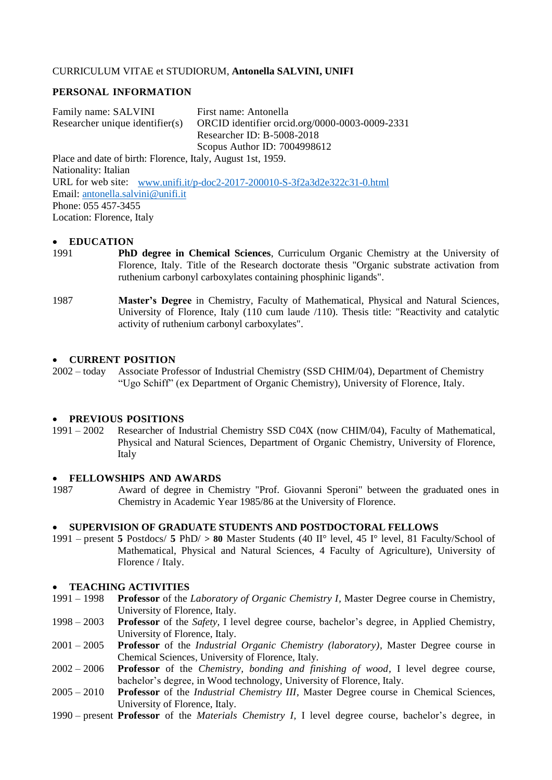### CURRICULUM VITAE et STUDIORUM, **Antonella SALVINI, UNIFI**

### **PERSONAL INFORMATION**

Family name: SALVINI First name: Antonella Researcher unique identifier(s) ORCID identifier orcid.org/0000-0003-0009-2331 Researcher ID: B-5008-2018 Scopus Author ID: 7004998612

Place and date of birth: Florence, Italy, August 1st, 1959. Nationality: Italian URL for web site: [www.unifi.it/p-doc2-2017-200010-S-3f2a3d2e322c31-0.html](http://www.unifi.it/p-doc2-2017-200010-S-3f2a3d2e322c31-0.html) Email: [antonella.salvini@unifi.it](mailto:antonella.salvini@unifi.it) Phone: 055 457-3455 Location: Florence, Italy

#### **EDUCATION**

- 1991 **PhD degree in Chemical Sciences**, Curriculum Organic Chemistry at the University of Florence, Italy. Title of the Research doctorate thesis "Organic substrate activation from ruthenium carbonyl carboxylates containing phosphinic ligands".
- 1987 **Master's Degree** in Chemistry, Faculty of Mathematical, Physical and Natural Sciences, University of Florence, Italy (110 cum laude /110). Thesis title: "Reactivity and catalytic activity of ruthenium carbonyl carboxylates".

### **CURRENT POSITION**

2002 – today Associate Professor of Industrial Chemistry (SSD CHIM/04), Department of Chemistry "Ugo Schiff" (ex Department of Organic Chemistry), University of Florence, Italy.

#### **PREVIOUS POSITIONS**

1991 – 2002 Researcher of Industrial Chemistry SSD C04X (now CHIM/04), Faculty of Mathematical, Physical and Natural Sciences, Department of Organic Chemistry, University of Florence, Italy

#### **FELLOWSHIPS AND AWARDS**

1987 Award of degree in Chemistry "Prof. Giovanni Speroni" between the graduated ones in Chemistry in Academic Year 1985/86 at the University of Florence.

### **SUPERVISION OF GRADUATE STUDENTS AND POSTDOCTORAL FELLOWS**

1991 – present **5** Postdocs/ **5** PhD/ **> 80** Master Students (40 II° level, 45 I° level, 81 Faculty/School of Mathematical, Physical and Natural Sciences, 4 Faculty of Agriculture), University of Florence / Italy.

### **TEACHING ACTIVITIES**

- 1991 1998 **Professor** of the *Laboratory of Organic Chemistry I,* Master Degree course in Chemistry, University of Florence, Italy.
- 1998 2003 **Professor** of the *Safety,* I level degree course, bachelor's degree, in Applied Chemistry, University of Florence, Italy.
- 2001 2005 **Professor** of the *Industrial Organic Chemistry (laboratory),* Master Degree course in Chemical Sciences, University of Florence, Italy.
- 2002 2006 **Professor** of the *Chemistry, bonding and finishing of wood,* I level degree course, bachelor's degree, in Wood technology, University of Florence, Italy.
- 2005 2010 **Professor** of the *Industrial Chemistry III,* Master Degree course in Chemical Sciences, University of Florence, Italy.
- 1990 present **Professor** of the *Materials Chemistry I,* I level degree course, bachelor's degree, in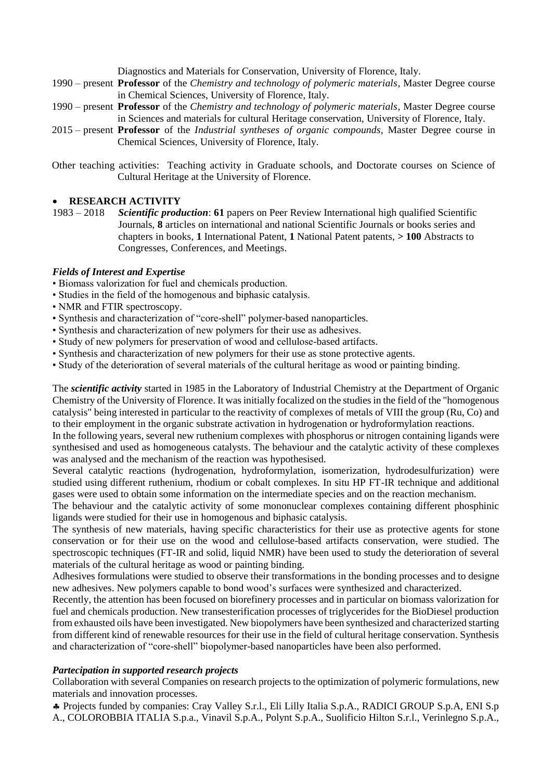Diagnostics and Materials for Conservation, University of Florence, Italy.

- 1990 present **Professor** of the *Chemistry and technology of polymeric materials,* Master Degree course in Chemical Sciences, University of Florence, Italy.
- 1990 present **Professor** of the *Chemistry and technology of polymeric materials,* Master Degree course in Sciences and materials for cultural Heritage conservation, University of Florence, Italy.
- 2015 present **Professor** of the *Industrial syntheses of organic compounds,* Master Degree course in Chemical Sciences, University of Florence, Italy.
- Other teaching activities: Teaching activity in Graduate schools, and Doctorate courses on Science of Cultural Heritage at the University of Florence.

## **RESEARCH ACTIVITY**

1983 – 2018 *Scientific production*: **61** papers on Peer Review International high qualified Scientific Journals, **8** articles on international and national Scientific Journals or books series and chapters in books, **1** International Patent, **1** National Patent patents, **> 100** Abstracts to Congresses, Conferences, and Meetings.

## *Fields of Interest and Expertise*

- Biomass valorization for fuel and chemicals production.
- Studies in the field of the homogenous and biphasic catalysis.
- NMR and FTIR spectroscopy.
- Synthesis and characterization of "core-shell" polymer-based nanoparticles.
- Synthesis and characterization of new polymers for their use as adhesives.
- Study of new polymers for preservation of wood and cellulose-based artifacts.
- Synthesis and characterization of new polymers for their use as stone protective agents.
- Study of the deterioration of several materials of the cultural heritage as wood or painting binding.

The *scientific activity* started in 1985 in the Laboratory of Industrial Chemistry at the Department of Organic Chemistry of the University of Florence. It was initially focalized on the studies in the field of the "homogenous catalysis" being interested in particular to the reactivity of complexes of metals of VIII the group (Ru, Co) and to their employment in the organic substrate activation in hydrogenation or hydroformylation reactions.

In the following years, several new ruthenium complexes with phosphorus or nitrogen containing ligands were synthesised and used as homogeneous catalysts. The behaviour and the catalytic activity of these complexes was analysed and the mechanism of the reaction was hypothesised.

Several catalytic reactions (hydrogenation, hydroformylation, isomerization, hydrodesulfurization) were studied using different ruthenium, rhodium or cobalt complexes. In situ HP FT-IR technique and additional gases were used to obtain some information on the intermediate species and on the reaction mechanism.

The behaviour and the catalytic activity of some mononuclear complexes containing different phosphinic ligands were studied for their use in homogenous and biphasic catalysis.

The synthesis of new materials, having specific characteristics for their use as protective agents for stone conservation or for their use on the wood and cellulose-based artifacts conservation, were studied. The spectroscopic techniques (FT-IR and solid, liquid NMR) have been used to study the deterioration of several materials of the cultural heritage as wood or painting binding.

Adhesives formulations were studied to observe their transformations in the bonding processes and to designe new adhesives. New polymers capable to bond wood's surfaces were synthesized and characterized.

Recently, the attention has been focused on biorefinery processes and in particular on biomass valorization for fuel and chemicals production. New transesterification processes of triglycerides for the BioDiesel production from exhausted oils have been investigated. New biopolymers have been synthesized and characterized starting from different kind of renewable resources for their use in the field of cultural heritage conservation. Synthesis and characterization of "core-shell" biopolymer-based nanoparticles have been also performed.

### *Partecipation in supported research projects*

Collaboration with several Companies on research projects to the optimization of polymeric formulations, new materials and innovation processes.

 Projects funded by companies: Cray Valley S.r.l., Eli Lilly Italia S.p.A., RADICI GROUP S.p.A, ENI S.p A., COLOROBBIA ITALIA S.p.a., Vinavil S.p.A., Polynt S.p.A., Suolificio Hilton S.r.l., Verinlegno S.p.A.,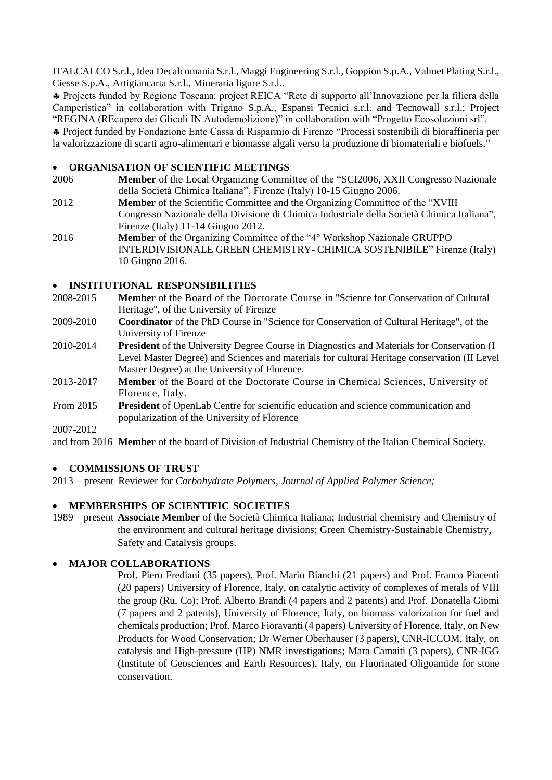ITALCALCO S.r.l., Idea Decalcomania S.r.l., Maggi Engineering S.r.l., Goppion S.p.A., Valmet Plating S.r.l., Ciesse S.p.A., Artigiancarta S.r.l., Mineraria ligure S.r.l..

 Projects funded by Regione Toscana: project REICA "Rete di supporto all'Innovazione per la filiera della Camperistica" in collaboration with Trigano S.p.A., Espansi Tecnici s.r.l. and Tecnowall s.r.l.; Project "REGINA (REcupero dei Glicoli IN Autodemolizione)" in collaboration with "Progetto Ecosoluzioni srl".

 Project funded by Fondazione Ente Cassa di Risparmio di Firenze "Processi sostenibili di bioraffineria per la valorizzazione di scarti agro-alimentari e biomasse algali verso la produzione di biomateriali e biofuels."

## **ORGANISATION OF SCIENTIFIC MEETINGS**

- 2006 **Member** of the Local Organizing Committee of the "SCI2006, XXII Congresso Nazionale della Società Chimica Italiana", Firenze (Italy) 10-15 Giugno 2006.
- 2012 **Member** of the Scientific Committee and the Organizing Committee of the "XVIII Congresso Nazionale della Divisione di Chimica Industriale della Società Chimica Italiana", Firenze (Italy) 11-14 Giugno 2012.
- 2016 **Member** of the Organizing Committee of the "4° Workshop Nazionale GRUPPO INTERDIVISIONALE GREEN CHEMISTRY- CHIMICA SOSTENIBILE" Firenze (Italy) 10 Giugno 2016.

## **INSTITUTIONAL RESPONSIBILITIES**

- 2008-2015 **Member** of the Board of the Doctorate Course in "Science for Conservation of Cultural Heritage", of the University of Firenze
- 2009-2010 **Coordinator** of the PhD Course in "Science for Conservation of Cultural Heritage", of the University of Firenze
- 2010-2014 **President** of the University Degree Course in Diagnostics and Materials for Conservation (I Level Master Degree) and Sciences and materials for cultural Heritage conservation (II Level Master Degree) at the University of Florence.
- 2013-2017 **Member** of the Board of the Doctorate Course in Chemical Sciences, University of Florence, Italy.
- From 2015 **President** of OpenLab Centre for scientific education and science communication and popularization of the University of Florence

2007-2012

and from 2016 **Member** of the board of Division of Industrial Chemistry of the Italian Chemical Society.

## **COMMISSIONS OF TRUST**

2013 – present Reviewer for *Carbohydrate Polymers, Journal of Applied Polymer Science;* 

## **MEMBERSHIPS OF SCIENTIFIC SOCIETIES**

1989 – present **Associate Member** of the Società Chimica Italiana; Industrial chemistry and Chemistry of the environment and cultural heritage divisions; Green Chemistry-Sustainable Chemistry, Safety and Catalysis groups.

# **MAJOR COLLABORATIONS**

Prof. Piero Frediani (35 papers), Prof. Mario Bianchi (21 papers) and Prof. Franco Piacenti (20 papers) University of Florence, Italy, on catalytic activity of complexes of metals of VIII the group (Ru, Co); Prof. Alberto Brandi (4 papers and 2 patents) and Prof. Donatella Giomi (7 papers and 2 patents), University of Florence, Italy, on biomass valorization for fuel and chemicals production; Prof. Marco Fioravanti (4 papers) University of Florence, Italy, on New Products for Wood Conservation; Dr Werner Oberhauser (3 papers), CNR-ICCOM, Italy, on catalysis and High-pressure (HP) NMR investigations; Mara Camaiti (3 papers), CNR-IGG (Institute of Geosciences and Earth Resources), Italy, on Fluorinated Oligoamide for stone conservation.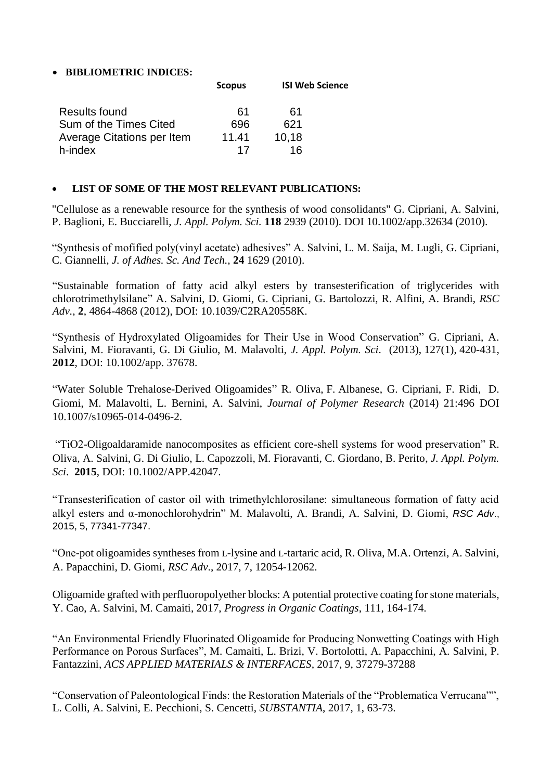# **BIBLIOMETRIC INDICES:**

|                            | <b>Scopus</b> | <b>ISI Web Science</b> |
|----------------------------|---------------|------------------------|
| Results found              | 61            | 61                     |
| Sum of the Times Cited     | 696           | 621                    |
| Average Citations per Item | 11.41         | 10,18                  |
| h-index                    | 17            | 16                     |

# **LIST OF SOME OF THE MOST RELEVANT PUBLICATIONS:**

"Cellulose as a renewable resource for the synthesis of wood consolidants" G. Cipriani, A. Salvini, P. Baglioni, E. Bucciarelli, *J. Appl. Polym. Sci.* **118** 2939 (2010). DOI 10.1002/app.32634 (2010).

"Synthesis of mofified poly(vinyl acetate) adhesives" A. Salvini, L. M. Saija, M. Lugli, G. Cipriani, C. Giannelli, *J. of Adhes. Sc. And Tech.,* **24** 1629 (2010).

"Sustainable formation of fatty acid alkyl esters by transesterification of triglycerides with chlorotrimethylsilane" A. Salvini, D. Giomi, G. Cipriani, G. Bartolozzi, R. Alfini, A. Brandi, *RSC Adv.*, **2**, 4864-4868 (2012), DOI: 10.1039/C2RA20558K.

"Synthesis of Hydroxylated Oligoamides for Their Use in Wood Conservation" G. Cipriani, A. Salvini, M. Fioravanti, G. Di Giulio, M. Malavolti, *J. Appl. Polym. Sci*. (2013), 127(1), 420-431, **2012**, DOI: 10.1002/app. 37678.

"Water Soluble Trehalose-Derived Oligoamides" R. Oliva, F. Albanese, G. Cipriani, F. Ridi, D. Giomi, M. Malavolti, L. Bernini, A. Salvini, *Journal of Polymer Research* (2014) 21:496 DOI 10.1007/s10965-014-0496-2.

"TiO2-Oligoaldaramide nanocomposites as efficient core-shell systems for wood preservation" R. Oliva, A. Salvini, G. Di Giulio, L. Capozzoli, M. Fioravanti, C. Giordano, B. Perito, *J. Appl. Polym. Sci*. **2015**, DOI: 10.1002/APP.42047.

"Transesterification of castor oil with trimethylchlorosilane: simultaneous formation of fatty acid alkyl esters and α-monochlorohydrin" M. Malavolti, A. Brandi, A. Salvini, D. Giomi, *RSC Adv*., 2015, 5, 77341-77347.

"One-pot oligoamides syntheses from L-lysine and L-tartaric acid, R. Oliva, M.A. Ortenzi, A. Salvini, A. Papacchini, D. Giomi, *RSC Adv*., 2017, 7, 12054-12062.

Oligoamide grafted with perfluoropolyether blocks: A potential protective coating for stone materials, Y. Cao, A. Salvini, M. Camaiti, 2017, *Progress in Organic Coatings*, 111, 164-174.

"An Environmental Friendly Fluorinated Oligoamide for Producing Nonwetting Coatings with High Performance on Porous Surfaces", M. Camaiti, L. Brizi, V. Bortolotti, A. Papacchini, A. Salvini, P. Fantazzini, *ACS APPLIED MATERIALS & INTERFACES,* 2017, 9, 37279-37288

"Conservation of Paleontological Finds: the Restoration Materials of the "Problematica Verrucana"", L. Colli, A. Salvini, E. Pecchioni, S. Cencetti, *SUBSTANTIA*, 2017, 1, 63-73.